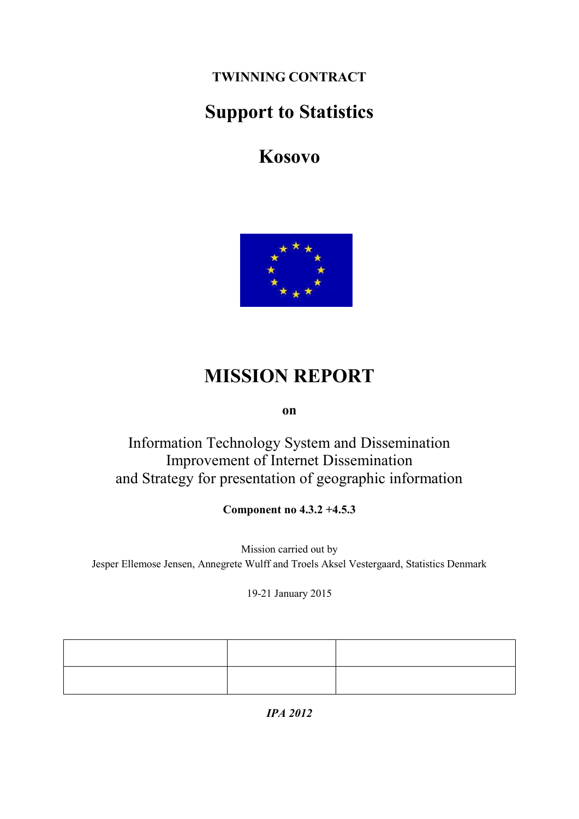**TWINNING CONTRACT**

# **Support to Statistics**

**Kosovo**



# **MISSION REPORT**

**on**

Information Technology System and Dissemination Improvement of Internet Dissemination and Strategy for presentation of geographic information

**Component no 4.3.2 +4.5.3**

Mission carried out by Jesper Ellemose Jensen, Annegrete Wulff and Troels Aksel Vestergaard, Statistics Denmark

19-21 January 2015

*IPA 2012*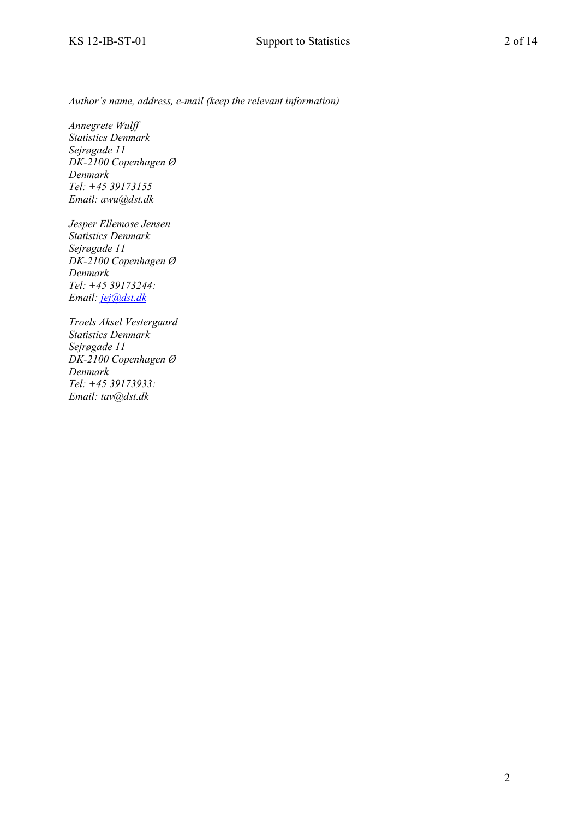*Author's name, address, e-mail (keep the relevant information)*

*Annegrete Wulff Statistics Denmark Sejrøgade 11 DK-2100 Copenhagen Ø Denmark Tel: +45 39173155 Email: awu@dst.dk*

*Jesper Ellemose Jensen Statistics Denmark Sejrøgade 11 DK-2100 Copenhagen Ø Denmark Tel: +45 39173244: Email: [jej@dst.dk](mailto:jej@dst.dk)*

*Troels Aksel Vestergaard Statistics Denmark Sejrøgade 11 DK-2100 Copenhagen Ø Denmark Tel: +45 39173933: Email: tav@dst.dk*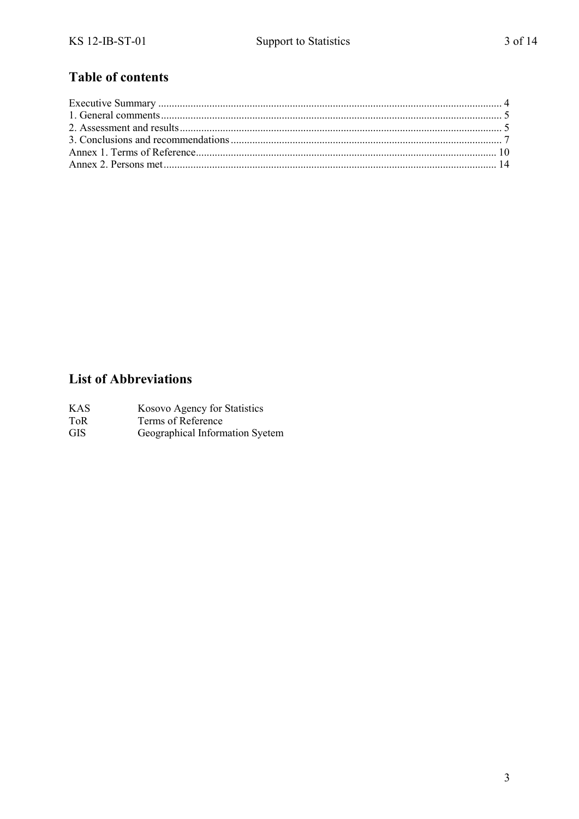### **Table of contents**

### **List of Abbreviations**

| <b>KAS</b> | Kosovo Agency for Statistics |
|------------|------------------------------|
| ToR        | Terms of Reference           |

 $\overline{GIS}$ Geographical Information Syetem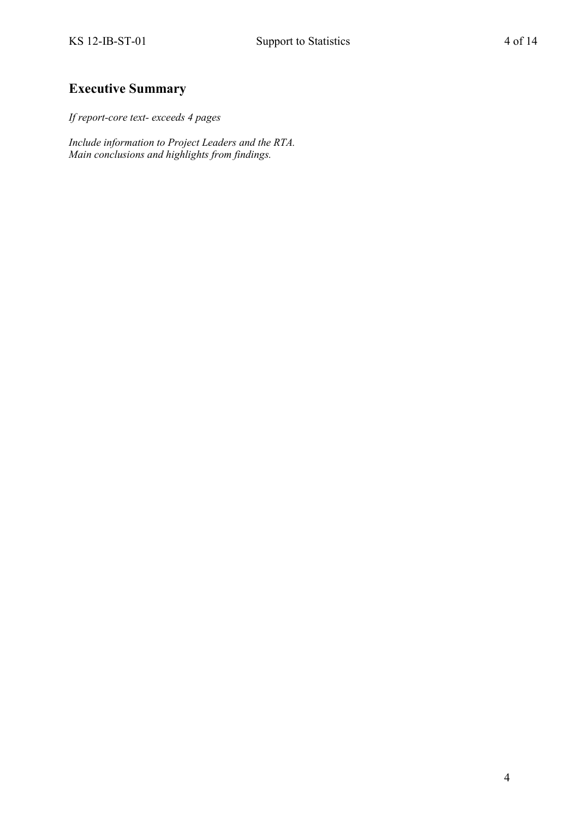### <span id="page-3-0"></span>**Executive Summary**

*If report-core text- exceeds 4 pages*

*Include information to Project Leaders and the RTA. Main conclusions and highlights from findings.*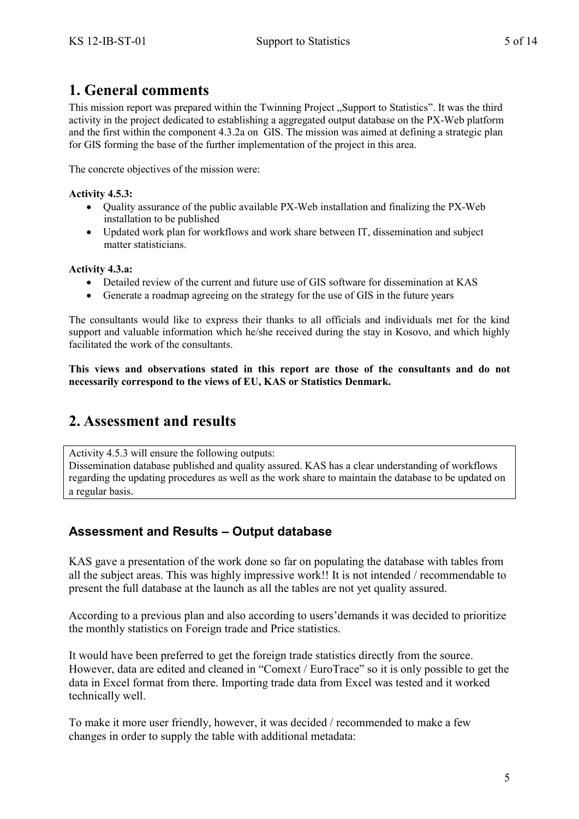### <span id="page-4-0"></span>**1. General comments**

This mission report was prepared within the Twinning Project "Support to Statistics". It was the third activity in the project dedicated to establishing a aggregated output database on the PX-Web platform and the first within the component 4.3.2a on GIS. The mission was aimed at defining a strategic plan for GIS forming the base of the further implementation of the project in this area.

The concrete objectives of the mission were:

#### **Activity 4.5.3:**

- Quality assurance of the public available PX-Web installation and finalizing the PX-Web installation to be published
- Updated work plan for workflows and work share between IT, dissemination and subject matter statisticians.

#### **Activity 4.3.a:**

- Detailed review of the current and future use of GIS software for dissemination at KAS
- Generate a roadmap agreeing on the strategy for the use of GIS in the future years

The consultants would like to express their thanks to all officials and individuals met for the kind support and valuable information which he/she received during the stay in Kosovo, and which highly facilitated the work of the consultants.

**This views and observations stated in this report are those of the consultants and do not necessarily correspond to the views of EU, KAS or Statistics Denmark.**

## <span id="page-4-1"></span>**2. Assessment and results**

Activity 4.5.3 will ensure the following outputs: Dissemination database published and quality assured. KAS has a clear understanding of workflows regarding the updating procedures as well as the work share to maintain the database to be updated on a regular basis.

### **Assessment and Results – Output database**

KAS gave a presentation of the work done so far on populating the database with tables from all the subject areas. This was highly impressive work!! It is not intended / recommendable to present the full database at the launch as all the tables are not yet quality assured.

According to a previous plan and also according to users'demands it was decided to prioritize the monthly statistics on Foreign trade and Price statistics.

It would have been preferred to get the foreign trade statistics directly from the source. However, data are edited and cleaned in "Comext / EuroTrace" so it is only possible to get the data in Excel format from there. Importing trade data from Excel was tested and it worked technically well.

To make it more user friendly, however, it was decided / recommended to make a few changes in order to supply the table with additional metadata: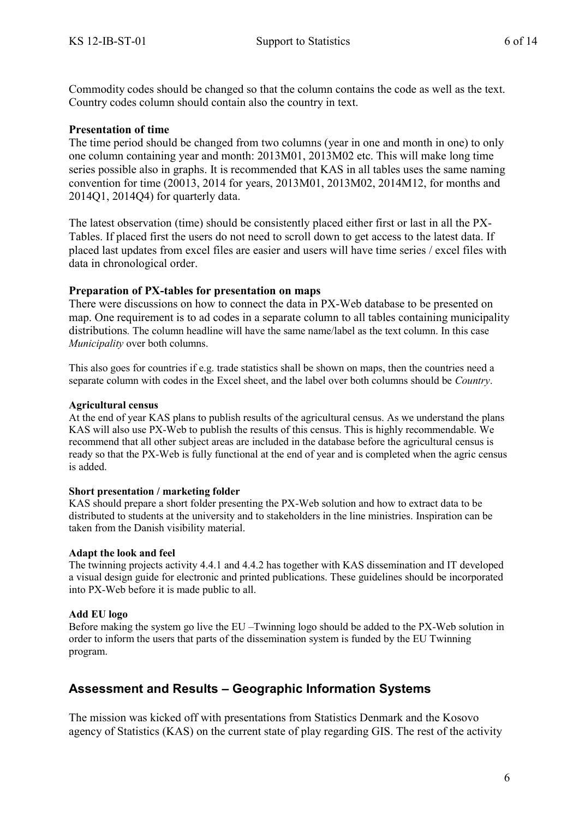Commodity codes should be changed so that the column contains the code as well as the text. Country codes column should contain also the country in text.

#### **Presentation of time**

The time period should be changed from two columns (year in one and month in one) to only one column containing year and month: 2013M01, 2013M02 etc. This will make long time series possible also in graphs. It is recommended that KAS in all tables uses the same naming convention for time (20013, 2014 for years, 2013M01, 2013M02, 2014M12, for months and 2014Q1, 2014Q4) for quarterly data.

The latest observation (time) should be consistently placed either first or last in all the PX-Tables. If placed first the users do not need to scroll down to get access to the latest data. If placed last updates from excel files are easier and users will have time series / excel files with data in chronological order.

#### **Preparation of PX-tables for presentation on maps**

There were discussions on how to connect the data in PX-Web database to be presented on map. One requirement is to ad codes in a separate column to all tables containing municipality distributions*.* The column headline will have the same name/label as the text column. In this case *Municipality* over both columns.

This also goes for countries if e.g. trade statistics shall be shown on maps, then the countries need a separate column with codes in the Excel sheet, and the label over both columns should be *Country*.

#### **Agricultural census**

At the end of year KAS plans to publish results of the agricultural census. As we understand the plans KAS will also use PX-Web to publish the results of this census. This is highly recommendable. We recommend that all other subject areas are included in the database before the agricultural census is ready so that the PX-Web is fully functional at the end of year and is completed when the agric census is added.

#### **Short presentation / marketing folder**

KAS should prepare a short folder presenting the PX-Web solution and how to extract data to be distributed to students at the university and to stakeholders in the line ministries. Inspiration can be taken from the Danish visibility material.

#### **Adapt the look and feel**

The twinning projects activity 4.4.1 and 4.4.2 has together with KAS dissemination and IT developed a visual design guide for electronic and printed publications. These guidelines should be incorporated into PX-Web before it is made public to all.

#### **Add EU logo**

Before making the system go live the EU –Twinning logo should be added to the PX-Web solution in order to inform the users that parts of the dissemination system is funded by the EU Twinning program.

### **Assessment and Results – Geographic Information Systems**

The mission was kicked off with presentations from Statistics Denmark and the Kosovo agency of Statistics (KAS) on the current state of play regarding GIS. The rest of the activity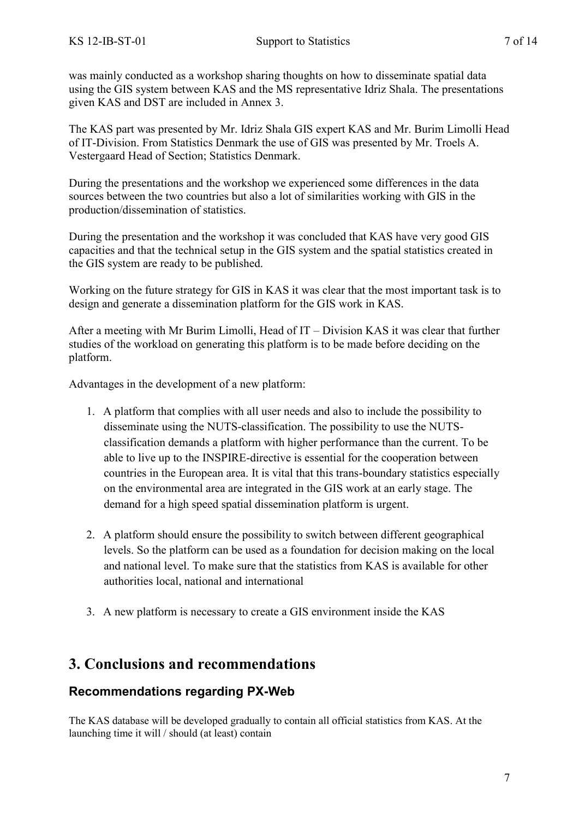The KAS part was presented by Mr. Idriz Shala GIS expert KAS and Mr. Burim Limolli Head of IT-Division. From Statistics Denmark the use of GIS was presented by Mr. Troels A. Vestergaard Head of Section; Statistics Denmark.

During the presentations and the workshop we experienced some differences in the data sources between the two countries but also a lot of similarities working with GIS in the production/dissemination of statistics.

During the presentation and the workshop it was concluded that KAS have very good GIS capacities and that the technical setup in the GIS system and the spatial statistics created in the GIS system are ready to be published.

Working on the future strategy for GIS in KAS it was clear that the most important task is to design and generate a dissemination platform for the GIS work in KAS.

After a meeting with Mr Burim Limolli, Head of IT – Division KAS it was clear that further studies of the workload on generating this platform is to be made before deciding on the platform.

Advantages in the development of a new platform:

given KAS and DST are included in Annex 3.

- 1. A platform that complies with all user needs and also to include the possibility to disseminate using the NUTS-classification. The possibility to use the NUTSclassification demands a platform with higher performance than the current. To be able to live up to the INSPIRE-directive is essential for the cooperation between countries in the European area. It is vital that this trans-boundary statistics especially on the environmental area are integrated in the GIS work at an early stage. The demand for a high speed spatial dissemination platform is urgent.
- 2. A platform should ensure the possibility to switch between different geographical levels. So the platform can be used as a foundation for decision making on the local and national level. To make sure that the statistics from KAS is available for other authorities local, national and international
- 3. A new platform is necessary to create a GIS environment inside the KAS

## <span id="page-6-0"></span>**3. Conclusions and recommendations**

### **Recommendations regarding PX-Web**

The KAS database will be developed gradually to contain all official statistics from KAS. At the launching time it will / should (at least) contain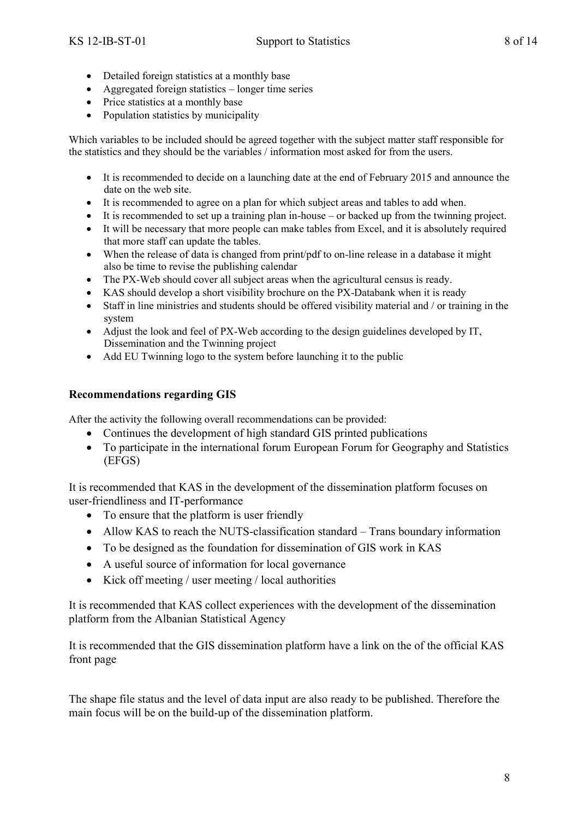- Detailed foreign statistics at a monthly base
- Aggregated foreign statistics longer time series
- Price statistics at a monthly base
- Population statistics by municipality

Which variables to be included should be agreed together with the subject matter staff responsible for the statistics and they should be the variables / information most asked for from the users.

- It is recommended to decide on a launching date at the end of February 2015 and announce the date on the web site.
- It is recommended to agree on a plan for which subject areas and tables to add when.
- $\bullet$  It is recommended to set up a training plan in-house or backed up from the twinning project.
- It will be necessary that more people can make tables from Excel, and it is absolutely required that more staff can update the tables.
- When the release of data is changed from print/pdf to on-line release in a database it might also be time to revise the publishing calendar
- The PX-Web should cover all subject areas when the agricultural census is ready.
- KAS should develop a short visibility brochure on the PX-Databank when it is ready
- Staff in line ministries and students should be offered visibility material and / or training in the system
- Adjust the look and feel of PX-Web according to the design guidelines developed by IT, Dissemination and the Twinning project
- Add EU Twinning logo to the system before launching it to the public

#### **Recommendations regarding GIS**

After the activity the following overall recommendations can be provided:

- Continues the development of high standard GIS printed publications
- To participate in the international forum European Forum for Geography and Statistics (EFGS)

It is recommended that KAS in the development of the dissemination platform focuses on user-friendliness and IT-performance

- To ensure that the platform is user friendly
- Allow KAS to reach the NUTS-classification standard Trans boundary information
- To be designed as the foundation for dissemination of GIS work in KAS
- A useful source of information for local governance
- Kick off meeting / user meeting / local authorities

It is recommended that KAS collect experiences with the development of the dissemination platform from the Albanian Statistical Agency

It is recommended that the GIS dissemination platform have a link on the of the official KAS front page

The shape file status and the level of data input are also ready to be published. Therefore the main focus will be on the build-up of the dissemination platform.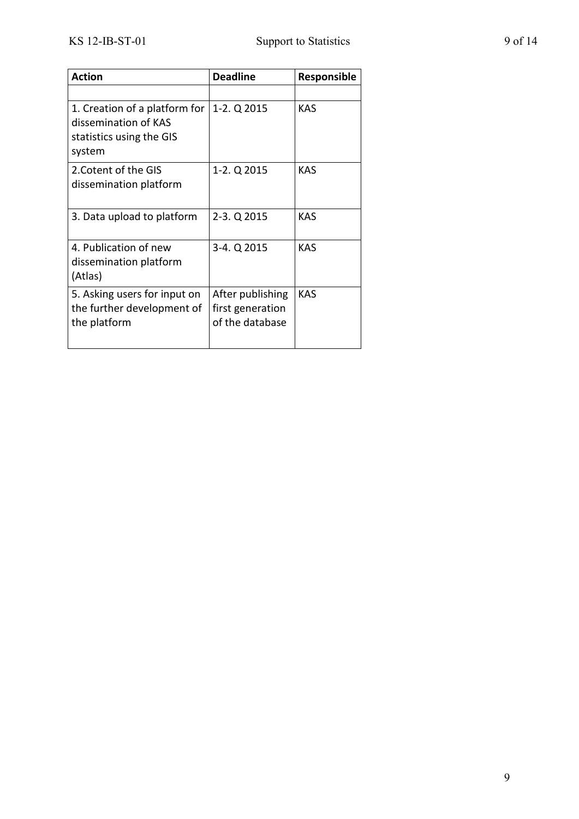| <b>Action</b>                                                                               | <b>Deadline</b>                                         | <b>Responsible</b> |
|---------------------------------------------------------------------------------------------|---------------------------------------------------------|--------------------|
|                                                                                             |                                                         |                    |
| 1. Creation of a platform for<br>dissemination of KAS<br>statistics using the GIS<br>system | 1-2. Q 2015                                             | <b>KAS</b>         |
| 2. Cotent of the GIS<br>dissemination platform                                              | 1-2. Q 2015                                             | <b>KAS</b>         |
| 3. Data upload to platform                                                                  | 2-3. Q 2015                                             | <b>KAS</b>         |
| 4. Publication of new<br>dissemination platform<br>(Atlas)                                  | 3-4. Q 2015                                             | <b>KAS</b>         |
| 5. Asking users for input on<br>the further development of<br>the platform                  | After publishing<br>first generation<br>of the database | <b>KAS</b>         |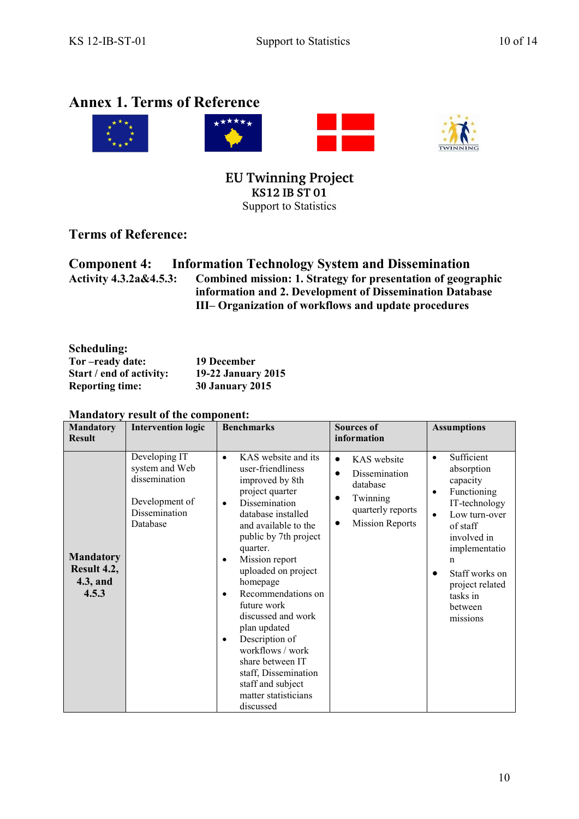# <span id="page-9-0"></span>**Annex 1. Terms of Reference**



EU Twinning Project<br>KS12 IB ST 01 Support to Statistics

### **Terms of Reference:**

|                                   | <b>Component 4:</b> Information Technology System and Dissemination |
|-----------------------------------|---------------------------------------------------------------------|
| <b>Activity 4.3.2a&amp;4.5.3:</b> | Combined mission: 1. Strategy for presentation of geographic        |
|                                   | information and 2. Development of Dissemination Database            |
|                                   | III– Organization of workflows and update procedures                |

| Scheduling:              |                           |
|--------------------------|---------------------------|
| Tor-ready date:          | 19 December               |
| Start / end of activity: | <b>19-22 January 2015</b> |
| <b>Reporting time:</b>   | <b>30 January 2015</b>    |

| <b>Mandatory</b><br><b>Result</b>                    | <b>Intervention logic</b>                                                                       | <b>Benchmarks</b>                                                                                                                                                                                                                                                                                                                                                                                                                                                                                               | <b>Sources of</b><br>information                                                                                                   | <b>Assumptions</b>                                                                                                                                                                                                                                                 |
|------------------------------------------------------|-------------------------------------------------------------------------------------------------|-----------------------------------------------------------------------------------------------------------------------------------------------------------------------------------------------------------------------------------------------------------------------------------------------------------------------------------------------------------------------------------------------------------------------------------------------------------------------------------------------------------------|------------------------------------------------------------------------------------------------------------------------------------|--------------------------------------------------------------------------------------------------------------------------------------------------------------------------------------------------------------------------------------------------------------------|
| <b>Mandatory</b><br>Result 4.2,<br>4.3, and<br>4.5.3 | Developing IT<br>system and Web<br>dissemination<br>Development of<br>Dissemination<br>Database | KAS website and its<br>$\bullet$<br>user-friendliness<br>improved by 8th<br>project quarter<br>Dissemination<br>٠<br>database installed<br>and available to the<br>public by 7th project<br>quarter.<br>Mission report<br>$\bullet$<br>uploaded on project<br>homepage<br>Recommendations on<br>$\bullet$<br>future work<br>discussed and work<br>plan updated<br>Description of<br>٠<br>workflows / work<br>share between IT<br>staff, Dissemination<br>staff and subject<br>matter statisticians<br>discussed | KAS website<br>$\bullet$<br>Dissemination<br>$\bullet$<br>database<br>Twinning<br>quarterly reports<br><b>Mission Reports</b><br>٠ | Sufficient<br>$\bullet$<br>absorption<br>capacity<br>Functioning<br>$\bullet$<br>IT-technology<br>Low turn-over<br>$\bullet$<br>of staff<br>involved in<br>implementatio<br>n<br>Staff works on<br>$\bullet$<br>project related<br>tasks in<br>between<br>missions |

#### **Mandatory result of the component:**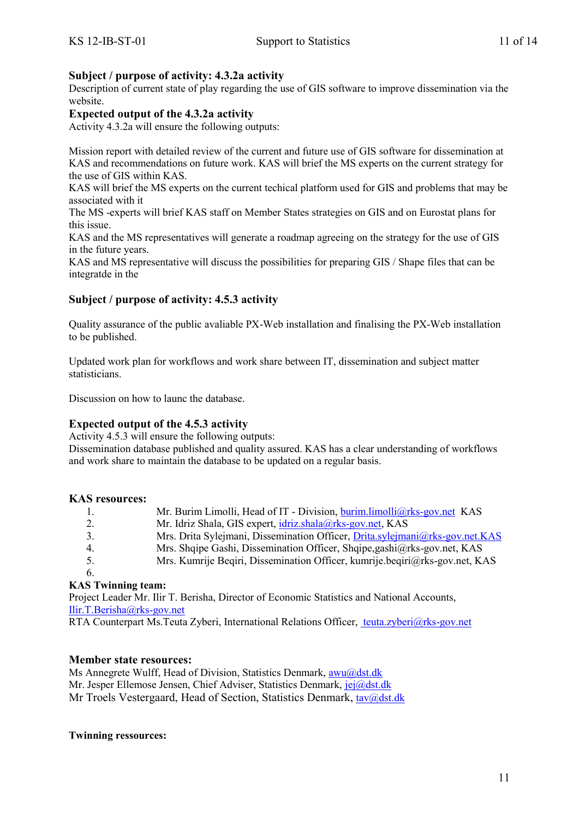#### **Subject / purpose of activity: 4.3.2a activity**

Description of current state of play regarding the use of GIS software to improve dissemination via the website.

#### **Expected output of the 4.3.2a activity**

Activity 4.3.2a will ensure the following outputs:

Mission report with detailed review of the current and future use of GIS software for dissemination at KAS and recommendations on future work. KAS will brief the MS experts on the current strategy for the use of GIS within KAS.

KAS will brief the MS experts on the current techical platform used for GIS and problems that may be associated with it

The MS -experts will brief KAS staff on Member States strategies on GIS and on Eurostat plans for this issue.

KAS and the MS representatives will generate a roadmap agreeing on the strategy for the use of GIS in the future years.

KAS and MS representative will discuss the possibilities for preparing GIS / Shape files that can be integratde in the

#### **Subject / purpose of activity: 4.5.3 activity**

Quality assurance of the public avaliable PX-Web installation and finalising the PX-Web installation to be published.

Updated work plan for workflows and work share between IT, dissemination and subject matter statisticians.

Discussion on how to launc the database.

#### **Expected output of the 4.5.3 activity**

Activity 4.5.3 will ensure the following outputs:

Dissemination database published and quality assured. KAS has a clear understanding of workflows and work share to maintain the database to be updated on a regular basis.

#### **KAS resources:**

|   | Mr. Burim Limolli, Head of IT - Division, burim limolli@rks-gov.net KAS      |
|---|------------------------------------------------------------------------------|
|   | Mr. Idriz Shala, GIS expert, idriz.shala@rks-gov.net, KAS                    |
|   | Mrs. Drita Sylejmani, Dissemination Officer, Drita.sylejmani@rks-gov.net.KAS |
| 4 | Mrs. Shqipe Gashi, Dissemination Officer, Shqipe, gashi@rks-gov.net, KAS     |
|   | Mrs. Kumrije Begiri, Dissemination Officer, kumrije.begiri@rks-gov.net, KAS  |
|   |                                                                              |

#### **KAS Twinning team:**

Project Leader Mr. Ilir T. Berisha, Director of Economic Statistics and National Accounts, [Ilir.T.Berisha@rks-gov.net](file:///C:/Users/Dstmove/AppData/Local/Microsoft/Windows/Temporary%20Internet%20Files/Content.IE5/AppData/Local/Microsoft/Dstmove/AppData/Local/Microsoft/Dstmove/AppData/Local/Microsoft/Windows/Temporary%20Internet%20Files/Content.IE5/HIQMOBD5/Ilir.T.Berisha@rks-gov.net)

RTA Counterpart Ms.Teuta Zyberi, International Relations Officer, [teuta.zyberi@rks-gov.net](mailto:%20teuta.zyberi@rks-gov.net)

#### **Member state resources:**

Ms Annegrete Wulff, Head of Division, Statistics Denmark, [awu@dst.dk](mailto:awu@dst.dk) Mr. Jesper Ellemose Jensen, Chief Adviser, Statistics Denmark, *jej@dst.dk* Mr Troels Vestergaard, Head of Section, Statistics Denmark, [tav@dst.dk](mailto:tav@dst.dk)

#### **Twinning ressources:**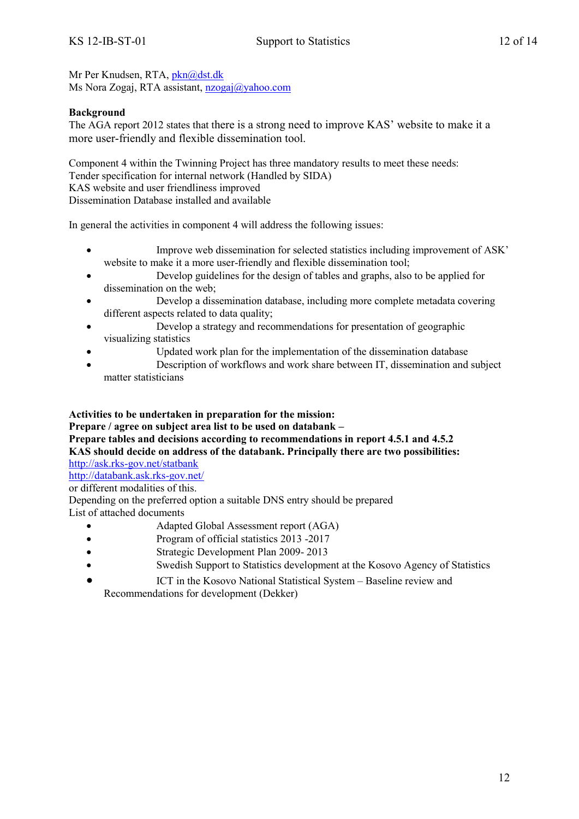Mr Per Knudsen, RTA, [pkn@dst.dk](mailto:pkn@dst.dk) Ms Nora Zogaj, RTA assistant, [nzogaj@yahoo.com](mailto:nzogaj@yahoo.com)

#### **Background**

The AGA report 2012 states that there is a strong need to improve KAS' website to make it a more user-friendly and flexible dissemination tool.

Component 4 within the Twinning Project has three mandatory results to meet these needs: Tender specification for internal network (Handled by SIDA) KAS website and user friendliness improved Dissemination Database installed and available

In general the activities in component 4 will address the following issues:

- Improve web dissemination for selected statistics including improvement of ASK' website to make it a more user-friendly and flexible dissemination tool;
- Develop guidelines for the design of tables and graphs, also to be applied for dissemination on the web;
- Develop a dissemination database, including more complete metadata covering different aspects related to data quality;
- Develop a strategy and recommendations for presentation of geographic visualizing statistics
	- Updated work plan for the implementation of the dissemination database
- Description of workflows and work share between IT, dissemination and subject matter statisticians

#### **Activities to be undertaken in preparation for the mission:**

**Prepare / agree on subject area list to be used on databank –**

**Prepare tables and decisions according to recommendations in report 4.5.1 and 4.5.2 KAS should decide on address of the databank. Principally there are two possibilities:**  <http://ask.rks-gov.net/statbank>

[http://databank.ask.rks-gov.net/](http://databank.ask.rks-gov.net/statbank)

or different modalities of this.

Depending on the preferred option a suitable DNS entry should be prepared List of attached documents

- Adapted Global Assessment report (AGA)
- Program of official statistics 2013 -2017
- Strategic Development Plan 2009- 2013
- Swedish Support to Statistics development at the Kosovo Agency of Statistics
- ICT in the Kosovo National Statistical System Baseline review and Recommendations for development (Dekker)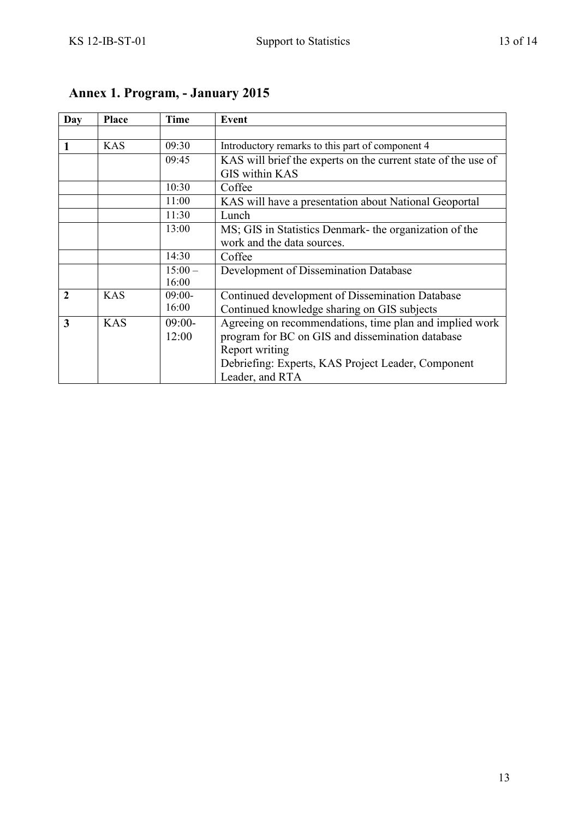| Day            | <b>Place</b> | Time      | Event                                                         |
|----------------|--------------|-----------|---------------------------------------------------------------|
|                |              |           |                                                               |
| 1              | <b>KAS</b>   | 09:30     | Introductory remarks to this part of component 4              |
|                |              | 09:45     | KAS will brief the experts on the current state of the use of |
|                |              |           | <b>GIS within KAS</b>                                         |
|                |              | 10:30     | Coffee                                                        |
|                |              | 11:00     | KAS will have a presentation about National Geoportal         |
|                |              | 11:30     | Lunch                                                         |
|                |              | 13:00     | MS; GIS in Statistics Denmark- the organization of the        |
|                |              |           | work and the data sources.                                    |
|                |              | 14:30     | Coffee                                                        |
|                |              | $15:00 -$ | Development of Dissemination Database                         |
|                |              | 16:00     |                                                               |
| $\overline{2}$ | <b>KAS</b>   | $09:00-$  | Continued development of Dissemination Database               |
|                |              | 16:00     | Continued knowledge sharing on GIS subjects                   |
| $\overline{3}$ | <b>KAS</b>   | $09:00-$  | Agreeing on recommendations, time plan and implied work       |
|                |              | 12:00     | program for BC on GIS and dissemination database              |
|                |              |           | Report writing                                                |
|                |              |           | Debriefing: Experts, KAS Project Leader, Component            |
|                |              |           | Leader, and RTA                                               |

# **Annex 1. Program, - January 2015**